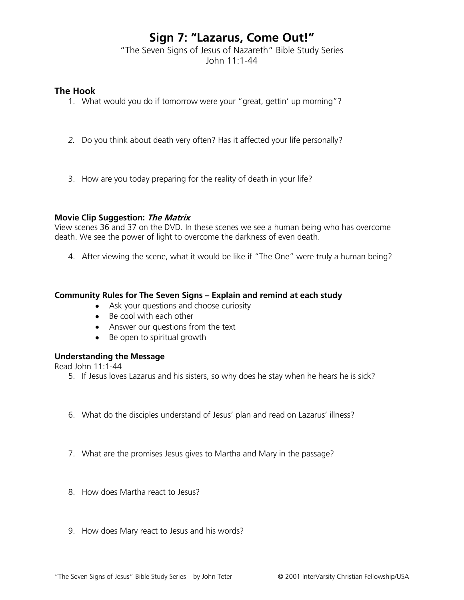# **Sign 7: "Lazarus, Come Out!"**

"The Seven Signs of Jesus of Nazareth" Bible Study Series John 11:1-44

## **The Hook**

- 1. What would you do if tomorrow were your "great, gettin' up morning"?
- *2.* Do you think about death very often? Has it affected your life personally?
- 3. How are you today preparing for the reality of death in your life?

### **Movie Clip Suggestion: The Matrix**

View scenes 36 and 37 on the DVD. In these scenes we see a human being who has overcome death. We see the power of light to overcome the darkness of even death.

4. After viewing the scene, what it would be like if "The One" were truly a human being?

## **Community Rules for The Seven Signs – Explain and remind at each study**

- Ask your questions and choose curiosity
- Be cool with each other
- Answer our questions from the text
- Be open to spiritual growth

# **Understanding the Message**

Read John 11:1-44

- 5. If Jesus loves Lazarus and his sisters, so why does he stay when he hears he is sick?
- 6. What do the disciples understand of Jesus' plan and read on Lazarus' illness?
- 7. What are the promises Jesus gives to Martha and Mary in the passage?
- 8. How does Martha react to Jesus?
- 9. How does Mary react to Jesus and his words?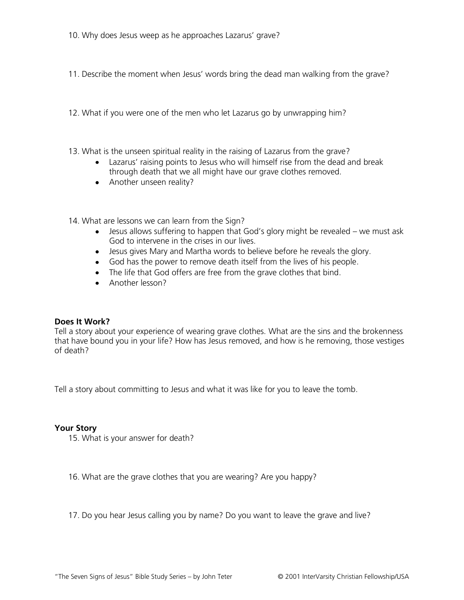- 10. Why does Jesus weep as he approaches Lazarus' grave?
- 11. Describe the moment when Jesus' words bring the dead man walking from the grave?
- 12. What if you were one of the men who let Lazarus go by unwrapping him?
- 13. What is the unseen spiritual reality in the raising of Lazarus from the grave?
	- Lazarus' raising points to Jesus who will himself rise from the dead and break through death that we all might have our grave clothes removed.
	- Another unseen reality?
- 14. What are lessons we can learn from the Sign?
	- Jesus allows suffering to happen that God's glory might be revealed we must ask God to intervene in the crises in our lives.
	- Jesus gives Mary and Martha words to believe before he reveals the glory.
	- God has the power to remove death itself from the lives of his people.
	- The life that God offers are free from the grave clothes that bind.
	- Another lesson?

### **Does It Work?**

Tell a story about your experience of wearing grave clothes. What are the sins and the brokenness that have bound you in your life? How has Jesus removed, and how is he removing, those vestiges of death?

Tell a story about committing to Jesus and what it was like for you to leave the tomb.

#### **Your Story**

15. What is your answer for death?

16. What are the grave clothes that you are wearing? Are you happy?

17. Do you hear Jesus calling you by name? Do you want to leave the grave and live?